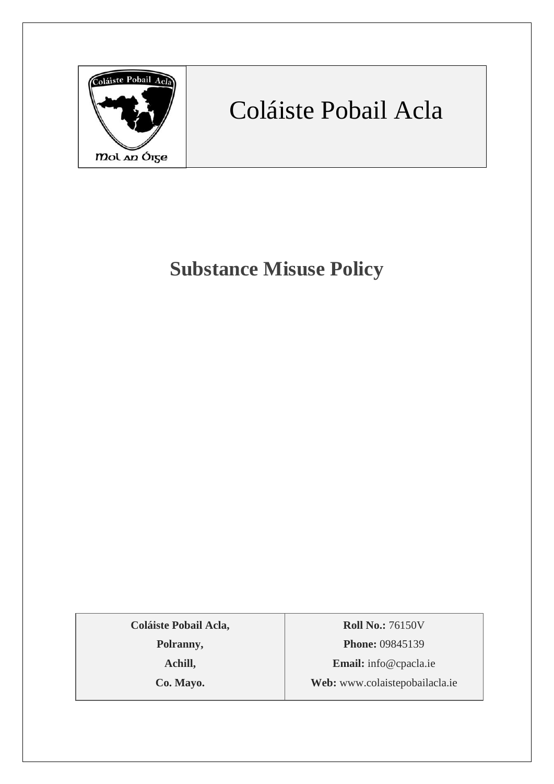

# Coláiste Pobail Acla

## **Substance Misuse Policy**

**Coláiste Pobail Acla,**

**Polranny,**

**Achill,**

**Co. Mayo.**

**Roll No.:** 76150V **Phone:** 09845139 **Email:** [info@cpacla.ie](mailto:info@cpacla.ie) **Web:** www.colaistepobailacla.ie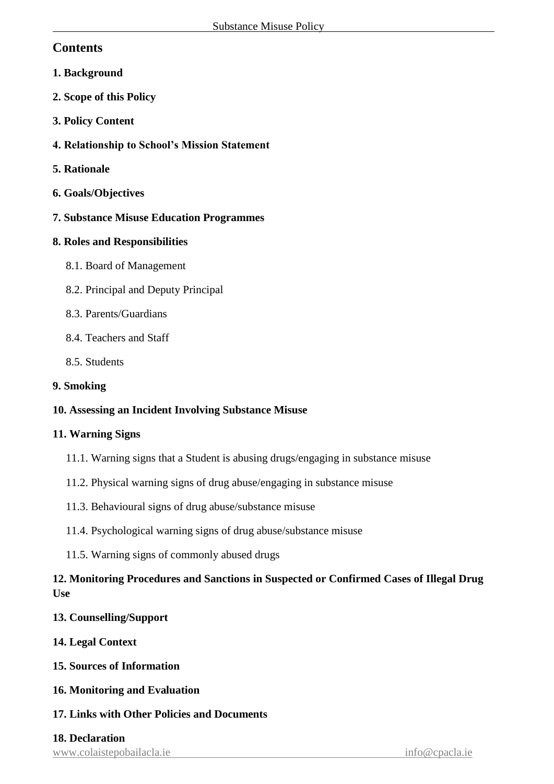## **Contents**

- **1. Background**
- **2. Scope of this Policy**
- **3. Policy Content**
- **4. Relationship to School's Mission Statement**
- **5. Rationale**
- **6. Goals/Objectives**
- **7. Substance Misuse Education Programmes**

## **8. Roles and Responsibilities**

- 8.1. Board of Management
- 8.2. Principal and Deputy Principal
- 8.3. Parents/Guardians
- 8.4. Teachers and Staff
- 8.5. Students

## **9. Smoking**

## **10. Assessing an Incident Involving Substance Misuse**

#### **11. Warning Signs**

- 11.1. Warning signs that a Student is abusing drugs/engaging in substance misuse
- 11.2. Physical warning signs of drug abuse/engaging in substance misuse
- 11.3. Behavioural signs of drug abuse/substance misuse
- 11.4. Psychological warning signs of drug abuse/substance misuse
- 11.5. Warning signs of commonly abused drugs

## **12. Monitoring Procedures and Sanctions in Suspected or Confirmed Cases of Illegal Drug Use**

## **13. Counselling/Support**

- **14. Legal Context**
- **15. Sources of Information**
- **16. Monitoring and Evaluation**
- **17. Links with Other Policies and Documents**

#### **18. Declaration**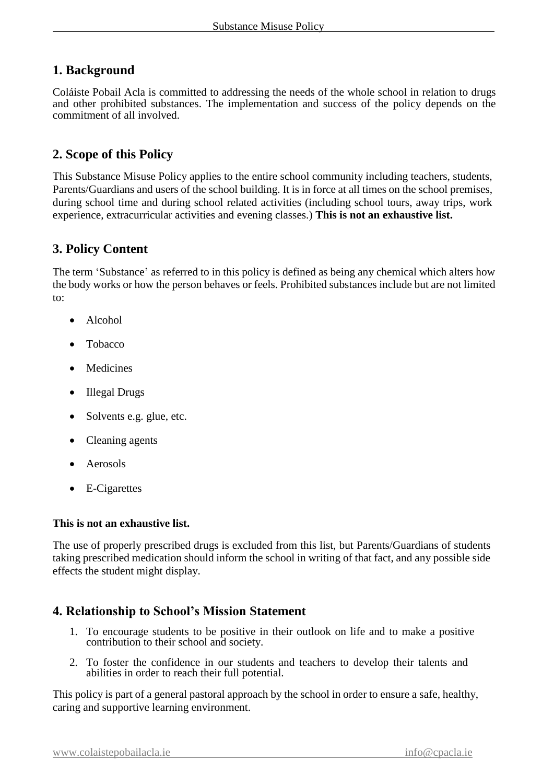## **1. Background**

Coláiste Pobail Acla is committed to addressing the needs of the whole school in relation to drugs and other prohibited substances. The implementation and success of the policy depends on the commitment of all involved.

## **2. Scope of this Policy**

This Substance Misuse Policy applies to the entire school community including teachers, students, Parents/Guardians and users of the school building. It is in force at all times on the school premises, during school time and during school related activities (including school tours, away trips, work experience, extracurricular activities and evening classes.) **This is not an exhaustive list.**

## **3. Policy Content**

The term 'Substance' as referred to in this policy is defined as being any chemical which alters how the body works or how the person behaves or feels. Prohibited substances include but are not limited to:

- Alcohol
- Tobacco
- Medicines
- Illegal Drugs
- Solvents e.g. glue, etc.
- Cleaning agents
- **Aerosols**
- E-Cigarettes

#### **This is not an exhaustive list.**

The use of properly prescribed drugs is excluded from this list, but Parents/Guardians of students taking prescribed medication should inform the school in writing of that fact, and any possible side effects the student might display.

## **4. Relationship to School's Mission Statement**

- 1. To encourage students to be positive in their outlook on life and to make a positive contribution to their school and society.
- 2. To foster the confidence in our students and teachers to develop their talents and abilities in order to reach their full potential.

This policy is part of a general pastoral approach by the school in order to ensure a safe, healthy, caring and supportive learning environment.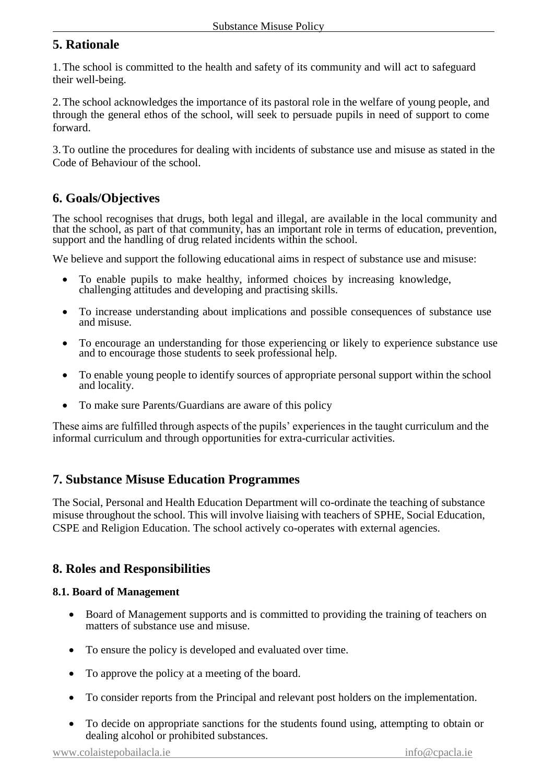## **5. Rationale**

1.The school is committed to the health and safety of its community and will act to safeguard their well-being.

2.The school acknowledges the importance of its pastoral role in the welfare of young people, and through the general ethos of the school, will seek to persuade pupils in need of support to come forward.

3.To outline the procedures for dealing with incidents of substance use and misuse as stated in the Code of Behaviour of the school.

## **6. Goals/Objectives**

The school recognises that drugs, both legal and illegal, are available in the local community and that the school, as part of that community, has an important role in terms of education, prevention, support and the handling of drug related incidents within the school.

We believe and support the following educational aims in respect of substance use and misuse:

- To enable pupils to make healthy, informed choices by increasing knowledge, challenging attitudes and developing and practising skills.
- To increase understanding about implications and possible consequences of substance use and misuse.
- To encourage an understanding for those experiencing or likely to experience substance use and to encourage those students to seek professional help.
- To enable young people to identify sources of appropriate personal support within the school and locality.
- To make sure Parents/Guardians are aware of this policy

These aims are fulfilled through aspects of the pupils' experiences in the taught curriculum and the informal curriculum and through opportunities for extra-curricular activities.

## **7. Substance Misuse Education Programmes**

The Social, Personal and Health Education Department will co-ordinate the teaching of substance misuse throughout the school. This will involve liaising with teachers of SPHE, Social Education, CSPE and Religion Education. The school actively co-operates with external agencies.

## **8. Roles and Responsibilities**

#### **8.1. Board of Management**

- Board of Management supports and is committed to providing the training of teachers on matters of substance use and misuse.
- To ensure the policy is developed and evaluated over time.
- To approve the policy at a meeting of the board.
- To consider reports from the Principal and relevant post holders on the implementation.
- To decide on appropriate sanctions for the students found using, attempting to obtain or dealing alcohol or prohibited substances.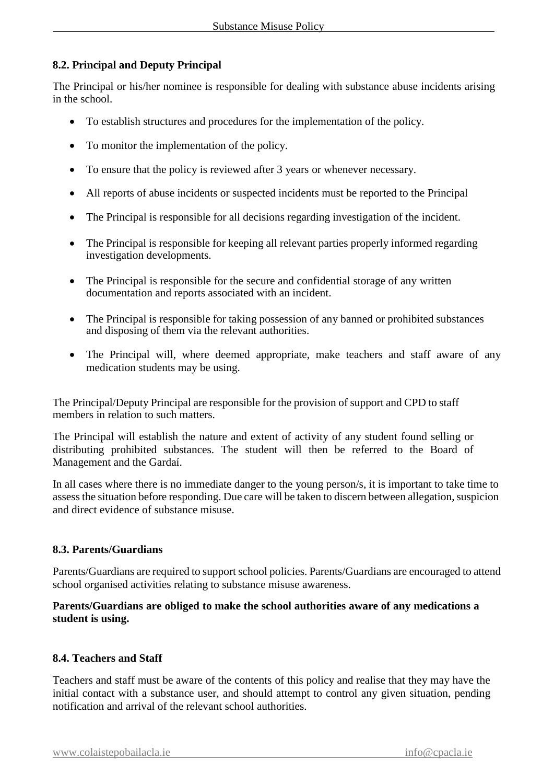#### **8.2. Principal and Deputy Principal**

The Principal or his/her nominee is responsible for dealing with substance abuse incidents arising in the school.

- To establish structures and procedures for the implementation of the policy.
- To monitor the implementation of the policy.
- To ensure that the policy is reviewed after 3 years or whenever necessary.
- All reports of abuse incidents or suspected incidents must be reported to the Principal
- The Principal is responsible for all decisions regarding investigation of the incident.
- The Principal is responsible for keeping all relevant parties properly informed regarding investigation developments.
- The Principal is responsible for the secure and confidential storage of any written documentation and reports associated with an incident.
- The Principal is responsible for taking possession of any banned or prohibited substances and disposing of them via the relevant authorities.
- The Principal will, where deemed appropriate, make teachers and staff aware of any medication students may be using.

The Principal/Deputy Principal are responsible for the provision of support and CPD to staff members in relation to such matters.

The Principal will establish the nature and extent of activity of any student found selling or distributing prohibited substances. The student will then be referred to the Board of Management and the Gardaí.

In all cases where there is no immediate danger to the young person/s, it is important to take time to assess the situation before responding. Due care will be taken to discern between allegation, suspicion and direct evidence of substance misuse.

#### **8.3. Parents/Guardians**

Parents/Guardians are required to support school policies. Parents/Guardians are encouraged to attend school organised activities relating to substance misuse awareness.

#### **Parents/Guardians are obliged to make the school authorities aware of any medications a student is using.**

#### **8.4. Teachers and Staff**

Teachers and staff must be aware of the contents of this policy and realise that they may have the initial contact with a substance user, and should attempt to control any given situation, pending notification and arrival of the relevant school authorities.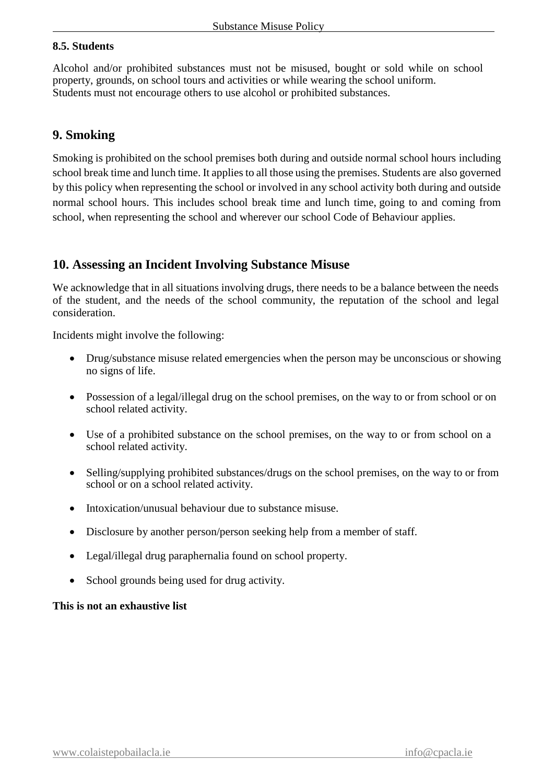#### **8.5. Students**

Alcohol and/or prohibited substances must not be misused, bought or sold while on school property, grounds, on school tours and activities or while wearing the school uniform. Students must not encourage others to use alcohol or prohibited substances.

## **9. Smoking**

Smoking is prohibited on the school premises both during and outside normal school hours including school break time and lunch time. It applies to all those using the premises. Students are also governed by this policy when representing the school or involved in any school activity both during and outside normal school hours. This includes school break time and lunch time, going to and coming from school, when representing the school and wherever our school Code of Behaviour applies.

## **10. Assessing an Incident Involving Substance Misuse**

We acknowledge that in all situations involving drugs, there needs to be a balance between the needs of the student, and the needs of the school community, the reputation of the school and legal consideration.

Incidents might involve the following:

- Drug/substance misuse related emergencies when the person may be unconscious or showing no signs of life.
- Possession of a legal/illegal drug on the school premises, on the way to or from school or on school related activity.
- Use of a prohibited substance on the school premises, on the way to or from school on a school related activity.
- Selling/supplying prohibited substances/drugs on the school premises, on the way to or from school or on a school related activity.
- Intoxication/unusual behaviour due to substance misuse.
- Disclosure by another person/person seeking help from a member of staff.
- Legal/illegal drug paraphernalia found on school property.
- School grounds being used for drug activity.

#### **This is not an exhaustive list**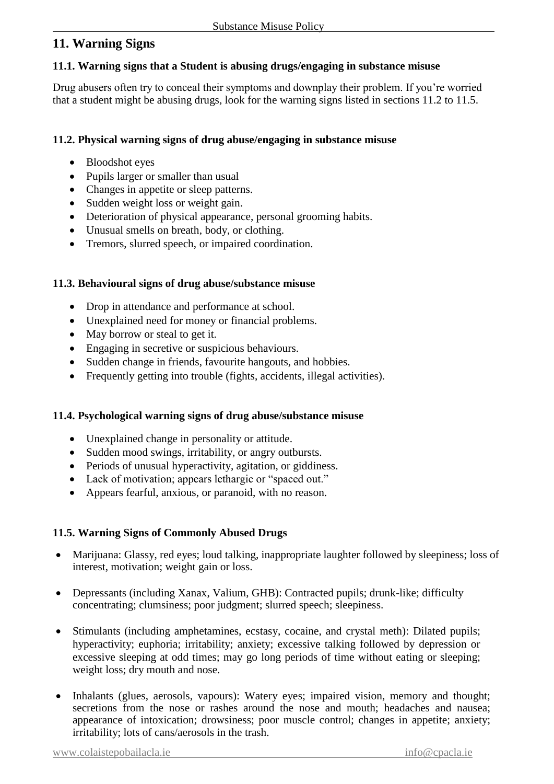## **11. Warning Signs**

#### **11.1. Warning signs that a Student is abusing drugs/engaging in substance misuse**

Drug abusers often try to conceal their symptoms and downplay their problem. If you're worried that a student might be abusing drugs, look for the warning signs listed in sections 11.2 to 11.5.

#### **11.2. Physical warning signs of drug abuse/engaging in substance misuse**

- Bloodshot eyes
- Pupils larger or smaller than usual
- Changes in appetite or sleep patterns.
- Sudden weight loss or weight gain.
- Deterioration of physical appearance, personal grooming habits.
- Unusual smells on breath, body, or clothing.
- Tremors, slurred speech, or impaired coordination.

#### **11.3. Behavioural signs of drug abuse/substance misuse**

- Drop in attendance and performance at school.
- Unexplained need for money or financial problems.
- May borrow or steal to get it.
- Engaging in secretive or suspicious behaviours.
- Sudden change in friends, favourite hangouts, and hobbies.
- Frequently getting into trouble (fights, accidents, illegal activities).

#### **11.4. Psychological warning signs of drug abuse/substance misuse**

- Unexplained change in personality or attitude.
- Sudden mood swings, irritability, or angry outbursts.
- Periods of unusual hyperactivity, agitation, or giddiness.
- Lack of motivation; appears lethargic or "spaced out."
- Appears fearful, anxious, or paranoid, with no reason.

#### **11.5. Warning Signs of Commonly Abused Drugs**

- Marijuana: Glassy, red eyes; loud talking, inappropriate laughter followed by sleepiness; loss of interest, motivation; weight gain or loss.
- Depressants (including Xanax, Valium, GHB): Contracted pupils; drunk-like; difficulty concentrating; clumsiness; poor judgment; slurred speech; sleepiness.
- Stimulants (including amphetamines, ecstasy, cocaine, and crystal meth): Dilated pupils; hyperactivity; euphoria; irritability; anxiety; excessive talking followed by depression or excessive sleeping at odd times; may go long periods of time without eating or sleeping; weight loss; dry mouth and nose.
- Inhalants (glues, aerosols, vapours): Watery eyes; impaired vision, memory and thought; secretions from the nose or rashes around the nose and mouth; headaches and nausea; appearance of intoxication; drowsiness; poor muscle control; changes in appetite; anxiety; irritability; lots of cans/aerosols in the trash.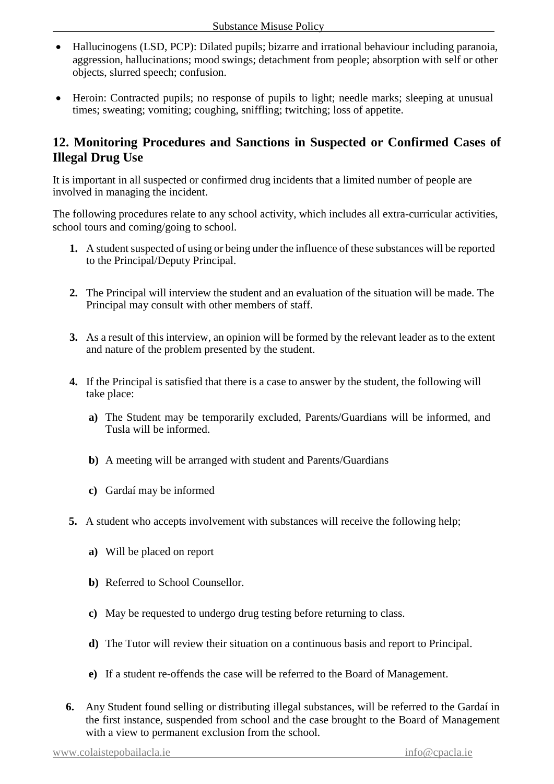- Hallucinogens (LSD, PCP): Dilated pupils; bizarre and irrational behaviour including paranoia, aggression, hallucinations; mood swings; detachment from people; absorption with self or other objects, slurred speech; confusion.
- Heroin: Contracted pupils; no response of pupils to light; needle marks; sleeping at unusual times; sweating; vomiting; coughing, sniffling; twitching; loss of appetite.

## **12. Monitoring Procedures and Sanctions in Suspected or Confirmed Cases of Illegal Drug Use**

It is important in all suspected or confirmed drug incidents that a limited number of people are involved in managing the incident.

The following procedures relate to any school activity, which includes all extra-curricular activities, school tours and coming/going to school.

- **1.** A student suspected of using or being under the influence of these substances will be reported to the Principal/Deputy Principal.
- **2.** The Principal will interview the student and an evaluation of the situation will be made. The Principal may consult with other members of staff.
- **3.** As a result of this interview, an opinion will be formed by the relevant leader as to the extent and nature of the problem presented by the student.
- **4.** If the Principal is satisfied that there is a case to answer by the student, the following will take place:
	- **a)** The Student may be temporarily excluded, Parents/Guardians will be informed, and Tusla will be informed.
	- **b)** A meeting will be arranged with student and Parents/Guardians
	- **c)** Gardaí may be informed
- **5.** A student who accepts involvement with substances will receive the following help;
	- **a)** Will be placed on report
	- **b)** Referred to School Counsellor.
	- **c)** May be requested to undergo drug testing before returning to class.
	- **d)** The Tutor will review their situation on a continuous basis and report to Principal.
	- **e)** If a student re-offends the case will be referred to the Board of Management.
- **6.** Any Student found selling or distributing illegal substances, will be referred to the Gardaí in the first instance, suspended from school and the case brought to the Board of Management with a view to permanent exclusion from the school.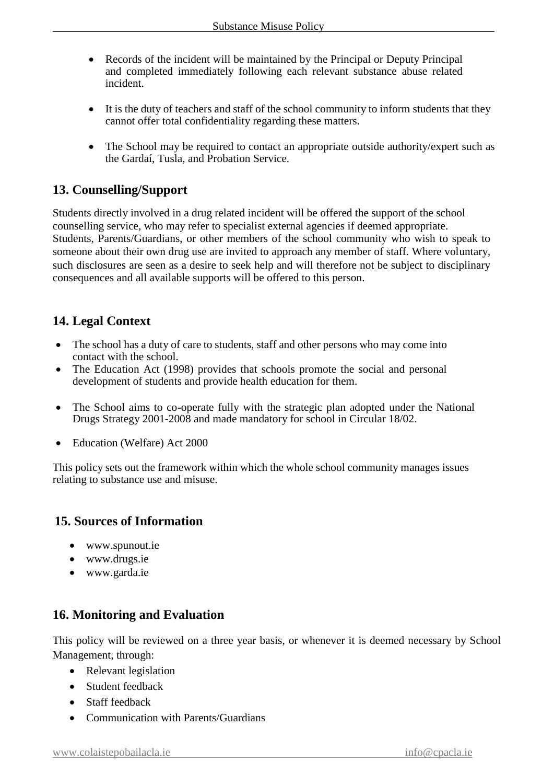- Records of the incident will be maintained by the Principal or Deputy Principal and completed immediately following each relevant substance abuse related incident.
- It is the duty of teachers and staff of the school community to inform students that they cannot offer total confidentiality regarding these matters.
- The School may be required to contact an appropriate outside authority/expert such as the Gardaí, Tusla, and Probation Service.

## **13. Counselling/Support**

Students directly involved in a drug related incident will be offered the support of the school counselling service, who may refer to specialist external agencies if deemed appropriate. Students, Parents/Guardians, or other members of the school community who wish to speak to someone about their own drug use are invited to approach any member of staff. Where voluntary, such disclosures are seen as a desire to seek help and will therefore not be subject to disciplinary consequences and all available supports will be offered to this person.

## **14. Legal Context**

- The school has a duty of care to students, staff and other persons who may come into contact with the school.
- The Education Act (1998) provides that schools promote the social and personal development of students and provide health education for them.
- The School aims to co-operate fully with the strategic plan adopted under the National Drugs Strategy 2001-2008 and made mandatory for school in Circular 18/02.
- Education (Welfare) Act 2000

This policy sets out the framework within which the whole school community manages issues relating to substance use and misuse.

## **15. Sources of Information**

- [www.spunout.ie](http://www.spunout.ie/)
- [www.drugs.ie](http://www.drugs.ie/)
- [www.garda.ie](http://www.garda.ie/)

## **16. Monitoring and Evaluation**

This policy will be reviewed on a three year basis, or whenever it is deemed necessary by School Management, through:

- Relevant legislation
- Student feedback
- Staff feedback
- Communication with Parents/Guardians